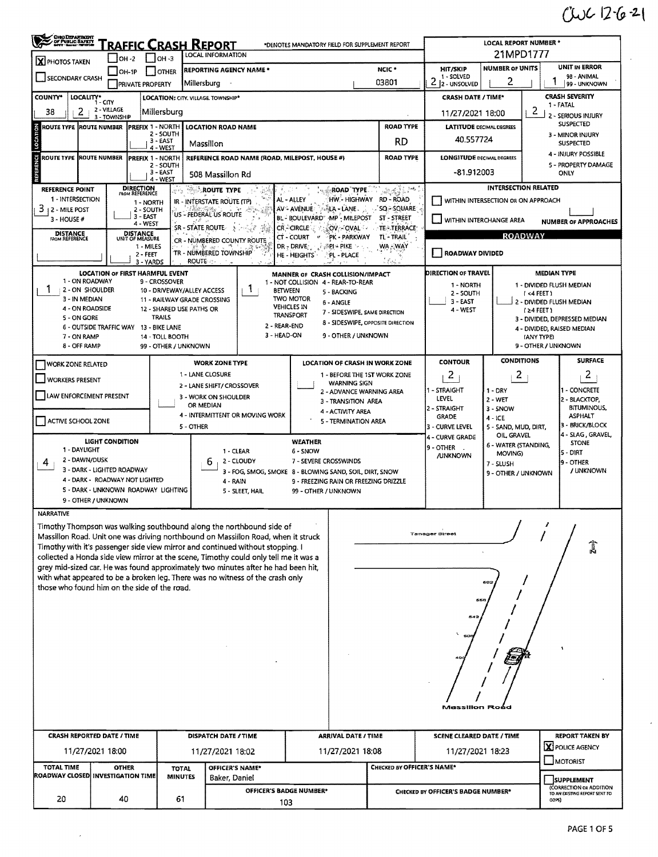## $CUC1262$

J.

| CHODERATHON<br><b>RAFFIC CRASH REPORT</b><br>*DENOTES MANDATORY FIELD FOR SUPPLEMENT REPORT                                                                                                                     |                         |                                    |                                         |                                   |                                                                                                                                                                           |                                           |                                                 |                                   |                                                        | <b>LOCAL REPORT NUMBER *</b>                             |                                                  |                                        |  |  |  |  |
|-----------------------------------------------------------------------------------------------------------------------------------------------------------------------------------------------------------------|-------------------------|------------------------------------|-----------------------------------------|-----------------------------------|---------------------------------------------------------------------------------------------------------------------------------------------------------------------------|-------------------------------------------|-------------------------------------------------|-----------------------------------|--------------------------------------------------------|----------------------------------------------------------|--------------------------------------------------|----------------------------------------|--|--|--|--|
| LOCAL INFORMATION<br>$I$ OH -3<br>$IOH - 2$<br>X PHOTOS TAKEN                                                                                                                                                   |                         |                                    |                                         |                                   |                                                                                                                                                                           |                                           |                                                 |                                   | 21MPD1777                                              |                                                          |                                                  |                                        |  |  |  |  |
| $IOH-1P$<br><b>OTHER</b><br>SECONDARY CRASH                                                                                                                                                                     |                         |                                    |                                         |                                   | <b>REPORTING AGENCY NAME *</b>                                                                                                                                            |                                           | NCIC <sup>*</sup>                               | HIT/SKIP<br>1 - SOLVED            | <b>NUMBER OF UNITS</b>                                 |                                                          | <b>UNIT IN ERROR</b><br>98 - ANIMAL              |                                        |  |  |  |  |
|                                                                                                                                                                                                                 |                         | <b>PRIVATE PROPERTY</b>            |                                         | Millersburg                       |                                                                                                                                                                           |                                           | 03801                                           | 2<br>2 - UNSOLVED                 | 2                                                      |                                                          | 99 - UNKNOWN                                     |                                        |  |  |  |  |
| <b>COUNTY*</b><br>LOCALITY*<br><b>LOCATION: CITY, VILLAGE TOWNSHIP*</b><br>1 - CITY                                                                                                                             |                         |                                    |                                         |                                   |                                                                                                                                                                           |                                           |                                                 |                                   |                                                        | CRASH SEVERITY<br><b>CRASH DATE / TIME*</b><br>1 - FATAL |                                                  |                                        |  |  |  |  |
| 2 - VILLAGE<br>2<br>Millersburg<br>38<br>3 - TOWNSHIP                                                                                                                                                           |                         |                                    |                                         |                                   |                                                                                                                                                                           |                                           |                                                 |                                   |                                                        | 2<br>11/27/2021 18:00<br>2 - SERIOUS INJURY              |                                                  |                                        |  |  |  |  |
| <b>ROAD TYPE</b><br><b>IPREFIX 1 - NORTH</b><br>LOCATION ROAD NAME<br>ROUTE TYPE  ROUTE NUMBER<br>2 - SOUTH                                                                                                     |                         |                                    |                                         |                                   |                                                                                                                                                                           |                                           |                                                 |                                   | <b>LATITUDE DECIMAL DEGREES</b>                        | <b>SUSPECTED</b>                                         |                                                  |                                        |  |  |  |  |
| LOCATION                                                                                                                                                                                                        |                         |                                    | 3 - EAST<br>$4 - WEST$                  | Massillon                         |                                                                                                                                                                           |                                           | RD                                              | 40,557724                         |                                                        |                                                          | 3 - MINOR INJURY<br><b>SUSPECTED</b>             |                                        |  |  |  |  |
| ROUTE TYPE ROUTE NUMBER                                                                                                                                                                                         |                         |                                    | <b>PREFIX 1 - NORTH</b>                 |                                   | REFERENCE ROAD NAME (ROAD, MILEPOST, HOUSE #)                                                                                                                             |                                           |                                                 | <b>ROAD TYPE</b>                  | <b>LONGITUDE DECIMAL DEGREES</b>                       |                                                          |                                                  | 4 - INJURY POSSIBLE                    |  |  |  |  |
| <b>REFERENCE</b>                                                                                                                                                                                                |                         |                                    | 2 - SOUTH<br>3 - EAST                   | 508 Massillon Rd                  |                                                                                                                                                                           |                                           |                                                 |                                   | -81.912003                                             |                                                          |                                                  | 5 - PROPERTY DAMAGE<br><b>ONLY</b>     |  |  |  |  |
| <b>REFERENCE POINT</b>                                                                                                                                                                                          |                         | <b>DIRECTION</b><br>FROM REFERENCE | 4 - WEST                                | <b>ROUTE TYPE</b>                 |                                                                                                                                                                           |                                           | <b>ROAD TYPE.</b>                               | ≫∉Ži™                             |                                                        | <b>INTERSECTION RELATED</b>                              |                                                  |                                        |  |  |  |  |
| 1 - INTERSECTION                                                                                                                                                                                                |                         | 1 - NORTH                          | 광학                                      | IR - INTERSTATE ROUTE (TP)        |                                                                                                                                                                           | AL - ALLEY                                |                                                 | HW-HIGHWAY RD-ROAD                |                                                        | WITHIN INTERSECTION OR ON APPROACH                       |                                                  |                                        |  |  |  |  |
| 3 12 - MILE POST                                                                                                                                                                                                |                         | 2 - SOUTH<br>3 - EAST              |                                         | US - FEDERAL US ROUTE             |                                                                                                                                                                           | AV - AVENUE - 7-ALA - LANE.               |                                                 | SQ-SQUARE                         |                                                        |                                                          |                                                  |                                        |  |  |  |  |
| BL - BOULEVARD MP - MILEPOST<br>ST - STREET<br>3 - HOUSE #<br>4 - WEST<br>SR - STATE ROUTE A PART 25<br>CR-CIRCLE<br>TE - TERRACE<br>{OV⊱-′OVALୀ ∘                                                              |                         |                                    |                                         |                                   |                                                                                                                                                                           |                                           |                                                 |                                   | WITHIN INTERCHANGE AREA<br><b>NUMBER OF APPROACHES</b> |                                                          |                                                  |                                        |  |  |  |  |
| <b>DISTANCE</b><br><b>DISTANCE</b><br>PK - PARKWAY<br>TL-TRAIL<br>$CT - COUNT$<br>$-$<br>UNIT OF MEASURE<br><b>FROM REFERENCE</b><br>CR - NÚMBERED COUNTY ROUTE                                                 |                         |                                    |                                         |                                   |                                                                                                                                                                           |                                           |                                                 |                                   |                                                        | <b>ROADWAY</b>                                           |                                                  |                                        |  |  |  |  |
| WA - WAY<br>1 - MILES<br>$DR - DRIVE$ $\rightarrow$ $\mathbb{R}P$ $\rightarrow$ PIKE<br>TR - NUMBERED TOWNSHIP<br><b>ROADWAY DIVIDED</b><br>2 - FEET<br>HE - HEIGHTS<br>PL - PLACE<br><b>ROUTE</b><br>3 - YARDS |                         |                                    |                                         |                                   |                                                                                                                                                                           |                                           |                                                 |                                   |                                                        |                                                          |                                                  |                                        |  |  |  |  |
|                                                                                                                                                                                                                 |                         |                                    | <b>LOCATION OF FIRST HARMFUL EVENT</b>  |                                   |                                                                                                                                                                           | MANNER OF CRASH COLLISION/IMPACT          |                                                 |                                   | DIRECTION OF TRAVEL                                    |                                                          |                                                  | <b>MEDIAN TYPE</b>                     |  |  |  |  |
| 1 - ON ROADWAY<br>1<br>2 - ON SHOULDER                                                                                                                                                                          |                         |                                    | 9 - CROSSOVER                           | 10 - DRIVEWAY/ALLEY ACCESS        | 1.<br><b>BETWEEN</b>                                                                                                                                                      | 1 - NOT COLLISION 4 - REAR-TO-REAR        |                                                 |                                   | 1 - NORTH                                              |                                                          |                                                  | 1 - DIVIDED FLUSH MEDIAN               |  |  |  |  |
| 3 - IN MEDIAN                                                                                                                                                                                                   |                         |                                    |                                         | 11 - RAILWAY GRADE CROSSING       |                                                                                                                                                                           | <b>TWO MOTOR</b>                          | 5 - BACKING<br>6 - ANGLE                        |                                   | 2 - SOUTH<br>3 EAST                                    | $1 < 4$ FEET 1                                           | 2 - DIVIDED FLUSH MEDIAN                         |                                        |  |  |  |  |
| 4 - ON ROADSIDE<br>5 - ON GORE                                                                                                                                                                                  |                         |                                    | <b>TRAILS</b>                           | 12 - SHARED USE PATHS OR          |                                                                                                                                                                           | <b>VEHICLES IN</b><br><b>TRANSPORT</b>    | 7 - SIDESWIPE, SAME DIRECTION                   |                                   | 4 - WEST                                               | (≥4 FEET)<br>3 - DIVIDED, DEPRESSED MEDIAN               |                                                  |                                        |  |  |  |  |
|                                                                                                                                                                                                                 | 6 - OUTSIDE TRAFFIC WAY |                                    | 13 - BIKE LANE                          |                                   | 2 - REAR-END                                                                                                                                                              |                                           |                                                 | 8 - SIDESWIPE, OPPOSITE DIRECTION |                                                        |                                                          |                                                  | 4 - DIVIDED, RAISED MEDIAN             |  |  |  |  |
| 7 - ON RAMP<br>8 - OFF RAMP                                                                                                                                                                                     |                         |                                    | 14 - TOLL BOOTH<br>99 - OTHER / UNKNOWN |                                   | 3 - HEAD-ON                                                                                                                                                               |                                           | 9 - OTHER / UNKNOWN                             |                                   |                                                        |                                                          | <b>IANY TYPEI</b>                                | 9 - OTHER / UNKNOWN                    |  |  |  |  |
| <b>WORK ZONE RELATED</b>                                                                                                                                                                                        |                         |                                    |                                         |                                   | <b>WORK ZONE TYPE</b>                                                                                                                                                     |                                           |                                                 | LOCATION OF CRASH IN WORK ZONE    | <b>CONTOUR</b>                                         | <b>CONDITIONS</b>                                        |                                                  | <b>SURFACE</b>                         |  |  |  |  |
| <b>WORKERS PRESENT</b>                                                                                                                                                                                          |                         |                                    |                                         | 1 - LANE CLOSURE                  |                                                                                                                                                                           |                                           |                                                 | 1 - BEFORE THE 1ST WORK ZONE      | 2                                                      | 2                                                        |                                                  | $\overline{c}$                         |  |  |  |  |
|                                                                                                                                                                                                                 |                         |                                    |                                         |                                   | 2 - LANE SHIFT/ CROSSOVER                                                                                                                                                 |                                           | <b>WARNING SIGN</b><br>2 - ADVANCE WARNING AREA |                                   | 1 - STRAIGHT                                           | $1 - DRY$                                                |                                                  | 1 - CONCRETE                           |  |  |  |  |
| LAW ENFORCEMENT PRESENT                                                                                                                                                                                         |                         |                                    |                                         | 3 - WORK ON SHOULDER<br>OR MEDIAN |                                                                                                                                                                           |                                           | 3 - TRANSITION AREA                             |                                   | LEVEL                                                  | 2 - WET                                                  |                                                  | 2 - BLACKTOP,<br><b>BITUMINOUS,</b>    |  |  |  |  |
| ACTIVE SCHOOL ZONE                                                                                                                                                                                              |                         |                                    |                                         |                                   | 4 - INTERMITTENT OR MOVING WORK                                                                                                                                           | 4 - ACTIVITY AREA<br>5 - TERMINATION AREA |                                                 | 2 - STRAIGHT<br><b>GRADE</b>      | 3 - SNOW<br>$4 - ICE$                                  |                                                          | <b>ASPHALT</b>                                   |                                        |  |  |  |  |
|                                                                                                                                                                                                                 |                         |                                    |                                         | 5 - OTHER                         |                                                                                                                                                                           |                                           |                                                 |                                   | 3 - CURVE LEVEL<br>4 - CURVE GRADE                     | 5 - SAND, MUD, DIRT,<br>OIL GRAVEL                       |                                                  | 3 - BRICK/BLOCK<br>4 - SLAG , GRAVEL,  |  |  |  |  |
| 1 - DAYLIGHT                                                                                                                                                                                                    | <b>LIGHT CONDITION</b>  |                                    |                                         |                                   | 1 - CLEAR                                                                                                                                                                 | <b>WEATHER</b><br>6 - SNOW                |                                                 |                                   | 9 - OTHER                                              | 6 - WATER (STANDING,                                     |                                                  | <b>STONE</b>                           |  |  |  |  |
| 2 - DAWN/DUSK<br>4                                                                                                                                                                                              |                         |                                    |                                         | 6                                 | 2 - CLOUDY                                                                                                                                                                | 7 - SEVERE CROSSWINDS                     |                                                 |                                   | <b>/UNKNOWN</b>                                        | MOVING)<br>7 - SLUSH                                     |                                                  | 5 - DIRT<br>9 - OTHER                  |  |  |  |  |
| 3 - DARK - LIGHTED ROADWAY<br>4 - DARK - ROADWAY NOT LIGHTED                                                                                                                                                    |                         |                                    |                                         |                                   | 3 - FOG, SMOG, SMOKE 8 - BLOWING SAND, SOIL, DIRT, SNOW                                                                                                                   |                                           |                                                 |                                   |                                                        | 9 - OTHER / UNKNOWN                                      |                                                  | / UNKNOWN                              |  |  |  |  |
|                                                                                                                                                                                                                 |                         |                                    | 5 - DARK - UNKNOWN ROADWAY LIGHTING     |                                   | 4 - RAIN<br>5 - SLEET, HAIL                                                                                                                                               | 99 - OTHER / UNKNOWN                      | 9 - FREEZING RAIN OR FREEZING DRIZZLE           |                                   |                                                        |                                                          |                                                  |                                        |  |  |  |  |
|                                                                                                                                                                                                                 | 9 - OTHER / UNKNOWN     |                                    |                                         |                                   |                                                                                                                                                                           |                                           |                                                 |                                   |                                                        |                                                          |                                                  |                                        |  |  |  |  |
| NARRATIVE                                                                                                                                                                                                       |                         |                                    |                                         |                                   |                                                                                                                                                                           |                                           |                                                 |                                   |                                                        |                                                          |                                                  |                                        |  |  |  |  |
|                                                                                                                                                                                                                 |                         |                                    |                                         |                                   | Timothy Thompson was walking southbound along the northbound side of<br>Massillon Road. Unit one was driving northbound on Massillon Road, when it struck                 |                                           |                                                 |                                   | <b>Tanager Street</b>                                  |                                                          |                                                  |                                        |  |  |  |  |
|                                                                                                                                                                                                                 |                         |                                    |                                         |                                   | Timothy with it's passenger side view mirror and continued without stopping. I                                                                                            |                                           |                                                 |                                   |                                                        |                                                          |                                                  | ĵ                                      |  |  |  |  |
|                                                                                                                                                                                                                 |                         |                                    |                                         |                                   | collected a Honda side view mirror at the scene, Timothy could only tell me it was a<br>grey mid-sized car. He was found approximately two minutes after he had been hit, |                                           |                                                 |                                   |                                                        |                                                          |                                                  |                                        |  |  |  |  |
|                                                                                                                                                                                                                 |                         |                                    |                                         |                                   | with what appeared to be a broken leg. There was no witness of the crash only                                                                                             |                                           |                                                 |                                   |                                                        | 60.                                                      |                                                  |                                        |  |  |  |  |
| those who found him on the side of the road.                                                                                                                                                                    |                         |                                    |                                         |                                   |                                                                                                                                                                           |                                           |                                                 |                                   |                                                        |                                                          |                                                  |                                        |  |  |  |  |
|                                                                                                                                                                                                                 |                         |                                    |                                         |                                   |                                                                                                                                                                           |                                           |                                                 |                                   |                                                        | 655                                                      |                                                  |                                        |  |  |  |  |
|                                                                                                                                                                                                                 |                         |                                    |                                         |                                   |                                                                                                                                                                           |                                           |                                                 |                                   | 64.                                                    |                                                          |                                                  |                                        |  |  |  |  |
|                                                                                                                                                                                                                 |                         |                                    |                                         |                                   |                                                                                                                                                                           |                                           |                                                 |                                   | 60                                                     |                                                          |                                                  |                                        |  |  |  |  |
|                                                                                                                                                                                                                 |                         |                                    |                                         |                                   |                                                                                                                                                                           |                                           |                                                 |                                   |                                                        |                                                          |                                                  |                                        |  |  |  |  |
|                                                                                                                                                                                                                 |                         |                                    |                                         |                                   |                                                                                                                                                                           |                                           |                                                 |                                   |                                                        |                                                          |                                                  |                                        |  |  |  |  |
|                                                                                                                                                                                                                 |                         |                                    |                                         |                                   |                                                                                                                                                                           |                                           |                                                 |                                   |                                                        |                                                          |                                                  |                                        |  |  |  |  |
|                                                                                                                                                                                                                 |                         |                                    |                                         |                                   |                                                                                                                                                                           |                                           |                                                 |                                   |                                                        |                                                          |                                                  |                                        |  |  |  |  |
|                                                                                                                                                                                                                 |                         |                                    |                                         |                                   |                                                                                                                                                                           |                                           |                                                 |                                   | Massillon Road                                         |                                                          |                                                  |                                        |  |  |  |  |
|                                                                                                                                                                                                                 |                         |                                    |                                         |                                   |                                                                                                                                                                           |                                           |                                                 |                                   |                                                        |                                                          |                                                  |                                        |  |  |  |  |
| <b>CRASH REPORTED DATE / TIME</b>                                                                                                                                                                               |                         |                                    |                                         | <b>DISPATCH DATE / TIME</b>       |                                                                                                                                                                           | <b>ARRIVAL DATE / TIME</b>                |                                                 | <b>SCENE CLEARED DATE / TIME</b>  |                                                        |                                                          | <b>REPORT TAKEN BY</b><br><b>X</b> POLICE AGENCY |                                        |  |  |  |  |
|                                                                                                                                                                                                                 | 11/27/2021 18:00        |                                    |                                         |                                   | 11/27/2021 18:02                                                                                                                                                          |                                           | 11/27/2021 18:08                                |                                   | 11/27/2021 18:23                                       |                                                          |                                                  | $\Box$ MOTORIST                        |  |  |  |  |
| <b>TOTAL TIME</b><br>ROADWAY CLOSED INVESTIGATION TIME                                                                                                                                                          |                         | <b>OTHER</b>                       | <b>TOTAL</b><br><b>MINUTES</b>          |                                   | OFFICER'S NAME*                                                                                                                                                           |                                           |                                                 |                                   | CHECKED BY OFFICER'S NAME*                             |                                                          |                                                  |                                        |  |  |  |  |
|                                                                                                                                                                                                                 |                         |                                    |                                         |                                   | Baker, Daniel<br>OFFICER'S BADGE NUMBER*                                                                                                                                  |                                           |                                                 |                                   | CHECKED BY OFFICER'S BADGE NUMBER*                     |                                                          |                                                  | SUPPLEMENT<br>(CORRECTION OR ADDITION  |  |  |  |  |
| 20<br>61<br>40<br>103                                                                                                                                                                                           |                         |                                    |                                         |                                   |                                                                                                                                                                           |                                           |                                                 |                                   |                                                        |                                                          |                                                  | TO AN EXISTING REPORT SENT TO<br>00PS) |  |  |  |  |

 $\mathcal{L}_{\mathrm{eff}}$ 

 $\mathcal{L}_{\mathcal{A}}$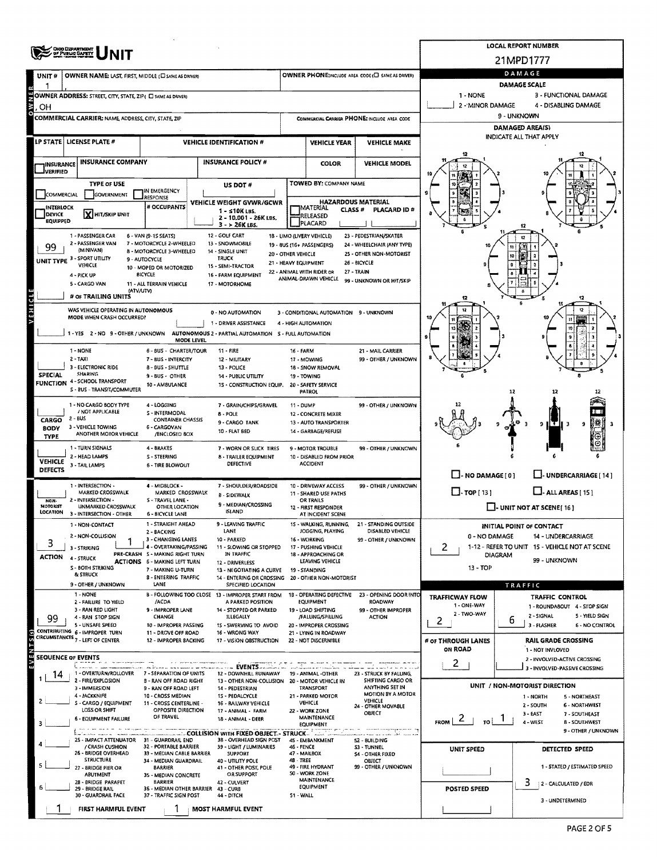|                                                                                                                                                                                                                                                                 | OHIO DIGMATHENT<br>DE PUBLIC GAFETY                                                                                                 |                                                                        | <b>LOCAL REPORT NUMBER</b>                                                    |                                                                       |                                                                        |                                              |                                                                  |                                                                  |  |  |  |  |  |
|-----------------------------------------------------------------------------------------------------------------------------------------------------------------------------------------------------------------------------------------------------------------|-------------------------------------------------------------------------------------------------------------------------------------|------------------------------------------------------------------------|-------------------------------------------------------------------------------|-----------------------------------------------------------------------|------------------------------------------------------------------------|----------------------------------------------|------------------------------------------------------------------|------------------------------------------------------------------|--|--|--|--|--|
|                                                                                                                                                                                                                                                                 |                                                                                                                                     |                                                                        |                                                                               |                                                                       |                                                                        |                                              |                                                                  | 21MPD1777                                                        |  |  |  |  |  |
| UNIT#                                                                                                                                                                                                                                                           | OWNER NAME: LAST, FIRST, MIDDLE (C) SAME AS DRIVERY                                                                                 |                                                                        | OWNER PHONE; INCLUDE AREA CODE (L) SAME AS DRIVER)                            | DAMAGE                                                                |                                                                        |                                              |                                                                  |                                                                  |  |  |  |  |  |
|                                                                                                                                                                                                                                                                 | OWNER ADDRESS: STREET, CITY, STATE, ZIP ( E) SAME AS DRIVER)                                                                        |                                                                        |                                                                               | <b>DAMAGE SCALE</b><br>1 - NONE<br>3 - FUNCTIONAL DAMAGE              |                                                                        |                                              |                                                                  |                                                                  |  |  |  |  |  |
| OWNE<br>OН                                                                                                                                                                                                                                                      |                                                                                                                                     |                                                                        |                                                                               |                                                                       |                                                                        |                                              | 2 - MINOR DAMAGE                                                 | 4 - DISABLING DAMAGE                                             |  |  |  |  |  |
|                                                                                                                                                                                                                                                                 | <b>COMMERCIAL CARRIER: NAME ADDRESS, CITY, STATE, ZIP</b>                                                                           |                                                                        | COMMERCIAL CARRIER PHONE: INCLUDE AREA CODE                                   |                                                                       | 9 - UNKNOWN                                                            |                                              |                                                                  |                                                                  |  |  |  |  |  |
|                                                                                                                                                                                                                                                                 |                                                                                                                                     |                                                                        |                                                                               | DAMAGED AREA(S)<br><b>INDICATE ALL THAT APPLY</b>                     |                                                                        |                                              |                                                                  |                                                                  |  |  |  |  |  |
|                                                                                                                                                                                                                                                                 | LP STATE   LICENSE PLATE #                                                                                                          |                                                                        | <b>VEHICLE IDENTIFICATION #</b>                                               | <b>VEHICLE YEAR</b><br><b>VEHICLE MAKE</b>                            |                                                                        |                                              |                                                                  |                                                                  |  |  |  |  |  |
| <b>INSURANCE</b>                                                                                                                                                                                                                                                | <b>INSURANCE COMPANY</b>                                                                                                            |                                                                        | <b>INSURANCE POLICY #</b>                                                     |                                                                       | <b>COLOR</b>                                                           | <b>VEHICLE MODEL</b>                         |                                                                  |                                                                  |  |  |  |  |  |
| <b>JVERIFIED</b>                                                                                                                                                                                                                                                | <b>TYPE OF USE</b>                                                                                                                  |                                                                        |                                                                               |                                                                       | TOWED BY: COMPANY NAME                                                 |                                              |                                                                  |                                                                  |  |  |  |  |  |
| COMMERCIAL                                                                                                                                                                                                                                                      | GOVERNMENT                                                                                                                          | IN EMERGENCY<br>RESPONSE                                               | US DOT#                                                                       |                                                                       |                                                                        |                                              |                                                                  |                                                                  |  |  |  |  |  |
| <b>INTERLOCK</b>                                                                                                                                                                                                                                                |                                                                                                                                     | # OCCUPANTS                                                            | VEHICLE WEIGHT GVWR/GCWR<br>$1 - 510K$ LBS.                                   |                                                                       | <b>HAZARDOUS MATERIAL</b><br>MATERIAL<br>CLASS #                       | <b>PLACARD ID #</b>                          |                                                                  |                                                                  |  |  |  |  |  |
| DEVICE<br>EQUIPPED                                                                                                                                                                                                                                              | X HIT/SKIP UNIT                                                                                                                     |                                                                        | 2 - 10.001 - 26K LBS.<br>3 - > 26K LBS.                                       |                                                                       | RELEASED<br>PLACARD                                                    |                                              |                                                                  |                                                                  |  |  |  |  |  |
| 1 - PASSENGER CAR<br>12 - GOLF CART<br>6 - VAN (9-1S SEATS)<br>18 - LIMO (LIVERY VEHICLE)<br>23 - PEDESTRIAN/SKATER                                                                                                                                             |                                                                                                                                     |                                                                        |                                                                               |                                                                       |                                                                        |                                              |                                                                  |                                                                  |  |  |  |  |  |
| 2 - PASSENGER VAN<br>7 - MOTORCYCLE 2-WHEELED<br>13 - SNOWMOBILE<br>24 - WHEELCHAIR (ANY TYPE)<br>19 - 8US (16+ PASSENGERS)<br>99<br>(MINIVAN)<br>8 - MOTORCYCLE 3-WHEELED<br>14 - SINGLE UNIT<br>25 - OTHER NON-MOTORIST<br>20 - OTHER VEHICLE<br><b>TRUCK</b> |                                                                                                                                     |                                                                        |                                                                               |                                                                       |                                                                        |                                              |                                                                  |                                                                  |  |  |  |  |  |
| UNIT TYPE <sup>3</sup>                                                                                                                                                                                                                                          | <b>SPORT UTILITY</b><br>VEHICLE                                                                                                     | 9 - AUTOCYCLE<br>15 - SEMI-TRACTOR<br>10 - MOPED OR MOTORIZED          | 26 - BICYCLE                                                                  |                                                                       |                                                                        |                                              |                                                                  |                                                                  |  |  |  |  |  |
|                                                                                                                                                                                                                                                                 | 4 - PICK UP                                                                                                                         | BICYCLE                                                                | 16 - FARM EQUIPMENT                                                           |                                                                       | 22 - ANIMAL WITH RIDER OR<br>27 - TRAIN<br>ANIMAL-DRAWN VEHICLE        | 99 - UNKNOWN OR HIT/SKIP                     |                                                                  |                                                                  |  |  |  |  |  |
| 5 - CARGO VAN<br>11 - ALL TERRAIN VEHICLE<br>17 - MOTORHOME<br>(ATV/UTV)<br># OF TRAILING UNITS                                                                                                                                                                 |                                                                                                                                     |                                                                        |                                                                               |                                                                       |                                                                        |                                              |                                                                  |                                                                  |  |  |  |  |  |
| VEHICLE                                                                                                                                                                                                                                                         | WAS VEHICLE OPERATING IN AUTONOMOUS                                                                                                 |                                                                        | 0 - NO AUTOMATION                                                             |                                                                       | 3 - CONDITIONAL AUTOMATION 9 - UNKNOWN                                 |                                              |                                                                  |                                                                  |  |  |  |  |  |
|                                                                                                                                                                                                                                                                 | MODE WHEN CRASH OCCURRED?                                                                                                           |                                                                        |                                                                               |                                                                       |                                                                        |                                              |                                                                  |                                                                  |  |  |  |  |  |
|                                                                                                                                                                                                                                                                 | 1 - YES 2 - NO 9 - OTHER / UNKNOWN AUTONOMOUS 2 - PARTIAL AUTOMATION 5 - FULL AUTOMATION                                            | MODE LEVEL                                                             |                                                                               |                                                                       | ťŮ                                                                     |                                              |                                                                  |                                                                  |  |  |  |  |  |
|                                                                                                                                                                                                                                                                 | 1 - NONE                                                                                                                            | 6 - BUS - CHARTER/TOUR                                                 | 11 - FIRE                                                                     | 16 - FARM                                                             |                                                                        | 21 - MAIL CARRIER                            |                                                                  |                                                                  |  |  |  |  |  |
|                                                                                                                                                                                                                                                                 | $2 - TAXI$<br>3 - ELECTRONIC RIDE                                                                                                   | 7 - BUS - INTERCITY                                                    | 12 - MILITARY                                                                 | 17 - MOWING                                                           |                                                                        | 99 - OTHER / UNKNOWN                         |                                                                  |                                                                  |  |  |  |  |  |
| <b>SPECIAL</b>                                                                                                                                                                                                                                                  | <b>SHARING</b>                                                                                                                      | 8 - BUS - SHUTTLE<br>9 - BUS - OTHER                                   | 13 - POLICE<br>14 - PUBLIC UTILITY                                            | 19 - TOWING                                                           | 18 - SNOW REMOVAL                                                      |                                              |                                                                  |                                                                  |  |  |  |  |  |
|                                                                                                                                                                                                                                                                 | <b>FUNCTION 4 - SCHOOL TRANSPORT</b><br>S - BUS - TRANSIT/COMMUTER                                                                  | 10 - AM8ULANCE                                                         | 15 - CONSTRUCTION EQUIP.                                                      | PATROL                                                                | 20 - SAFETY SERVICE                                                    |                                              |                                                                  | 12                                                               |  |  |  |  |  |
|                                                                                                                                                                                                                                                                 | 1 - NO CARGO BODY TYPE                                                                                                              | 4 - LOGGING                                                            | 7 - GRAIN/CHIPS/GRAVEL                                                        | 11 - DUMP                                                             |                                                                        | 99 - OTHER / UNKNOWN                         |                                                                  |                                                                  |  |  |  |  |  |
| CARGO                                                                                                                                                                                                                                                           | / NOT APPLICABLE<br>$2 - BUS$                                                                                                       | S - INTERMODAL<br><b>CONTAINER CHASSIS</b>                             | 8 - POLE<br>9 - CARGO TANK                                                    |                                                                       | 12 - CONCRETE MIXER<br>13 - AUTO TRANSPORTER                           |                                              |                                                                  |                                                                  |  |  |  |  |  |
| BODY<br><b>TYPE</b>                                                                                                                                                                                                                                             | 3 - VEHICLE TOWING<br>ANOTHER MOTOR VEHICLE                                                                                         | 6 - CARGOVAN<br>/ENCLOSED BOX                                          | 10 - FLAT BED                                                                 |                                                                       | 14 - GARBAGE/REFUSE                                                    |                                              |                                                                  | э<br>9 ILE II 3<br>9                                             |  |  |  |  |  |
|                                                                                                                                                                                                                                                                 | 1 - TURN SIGNALS                                                                                                                    | 4 - BRAKES                                                             | 7 - WORN OR SLICK TIRES                                                       |                                                                       | 9 - MOTOR TROUBLE                                                      | 99 - OTHER / UNKNOWN                         |                                                                  |                                                                  |  |  |  |  |  |
| VEHICLE                                                                                                                                                                                                                                                         | 2 - HEAD LAMPS<br>3 - TAIL LAMPS                                                                                                    | S - STEERING<br>6 - TIRE BLOWOUT                                       | 8 - TRAILER EQUIPMENT<br><b>DEFECTIVE</b>                                     |                                                                       | 10 - DISABLED FROM PRIOR<br><b>ACCIDENT</b>                            |                                              |                                                                  |                                                                  |  |  |  |  |  |
| <b>DEFECTS</b>                                                                                                                                                                                                                                                  |                                                                                                                                     |                                                                        |                                                                               | $\Box$ - NO DAMAGE $[0]$                                              | U-UNDERCARRIAGE [14]                                                   |                                              |                                                                  |                                                                  |  |  |  |  |  |
|                                                                                                                                                                                                                                                                 | 1 - INTERSECTION -<br>4 - MIDBLOCK -<br>7 - SHOULDER/ROADSIDE<br><b>MARKED CROSSWALK</b><br>MARKED CROSSWALK<br><b>B - SIDEWALK</b> |                                                                        |                                                                               | 10 - DRIVEWAY ACCESS<br>99 - OTHER / UNKNOWN<br>11 - SHARED USE PATHS |                                                                        |                                              | $\Box$ TOP [13]<br>$\Box$ - ALL AREAS [ 15 ]                     |                                                                  |  |  |  |  |  |
| NON-<br>MOTORIST                                                                                                                                                                                                                                                | 2 - INTERSECTION -<br>UNMARKED CROSSWALK                                                                                            | S - TRAVEL LANE -<br>9 - MEDIAN/CROSSING<br><b>OTHER LOCATION</b>      |                                                                               |                                                                       | OR TRAILS<br>12 - FIRST RESPONDER                                      |                                              | $\Box$ - UNIT NOT AT SCENE [ 16 ]                                |                                                                  |  |  |  |  |  |
| LOCATION                                                                                                                                                                                                                                                        | 3 - INTERSECTION - OTHER                                                                                                            | <b>6 - BICYCLE LANE</b><br>1 - STRAIGHT AHEAD                          | <b>ISLAND</b><br>9 - LEAVING TRAFFIC                                          |                                                                       | AT INCIDENT SCENE<br>15 - WALKING, RUNNING,                            |                                              |                                                                  |                                                                  |  |  |  |  |  |
|                                                                                                                                                                                                                                                                 | 1 - NON-CONTACT<br>2 - NON-COLLISION                                                                                                | 2 - BACKING                                                            | LANE                                                                          | 21 - STANDING OUTSIDE<br>DISABLED VEHICLE                             | <b>INITIAL POINT OF CONTACT</b><br>0 - NO DAMAGE<br>14 - UNDERCARRIAGE |                                              |                                                                  |                                                                  |  |  |  |  |  |
| 3                                                                                                                                                                                                                                                               | 3 - STRIKING                                                                                                                        | 3 - CHANGING LANES<br>4 - OVERTAKING/PASSING                           | 10 - PARKED<br>11 - SLOWING OR STOPPED                                        | 16 - WORKING                                                          | 17 - PUSHING VEHICLE<br>18 - APPROACHING OR                            | 99 - OTHER / UNKNOWN                         | $\overline{2}$<br>1-12 - REFER TO UNIT 15 - VEHICLE NOT AT SCENE |                                                                  |  |  |  |  |  |
| ACTION                                                                                                                                                                                                                                                          | 4 - STRUCK                                                                                                                          | PRE-CRASH 5 - MAKING RIGHT TURN<br><b>ACTIONS 6 - MAKING LEFT TURN</b> | IN TRAFFIC<br>12 - DRIVERLESS                                                 |                                                                       | DIAGRAM<br>99 - UNKNOWN                                                |                                              |                                                                  |                                                                  |  |  |  |  |  |
|                                                                                                                                                                                                                                                                 | <b>S - BOTH STRIKING</b><br><b>&amp; STRUCK</b>                                                                                     | 7 - MAKING U-TURN<br><b>B-ENTERING TRAFFIC</b>                         | 13 - NEGOTIATING A CURVE<br>14 - ENTERING OR CROSSING 20 - OTHER NON-MOTORIST | 19 - STANDING                                                         |                                                                        |                                              | 13 - TOP                                                         |                                                                  |  |  |  |  |  |
|                                                                                                                                                                                                                                                                 | 9 - OTHER / UNKNOWN                                                                                                                 | LANE                                                                   | SPECIFIED LOCATION                                                            |                                                                       |                                                                        |                                              |                                                                  | TRAFFIC                                                          |  |  |  |  |  |
|                                                                                                                                                                                                                                                                 | 1 - NONE<br>2 - FAILURE TO YIELD                                                                                                    | /ACDA                                                                  | B - FOLLOWING TOO CLOSE 13 - IMPROPER START FROM<br>A PARKED POSITION         |                                                                       | 18 - OPERATING DEFECTIVE<br>EQUIPMENT                                  | 23 - OPENING DOOR INTO<br>ROADWAY            | <b>TRAFFICWAY FLOW</b><br>1 - ONE-WAY                            | TRAFFIC CONTROL<br>1 - ROUNDABOUT 4 - STOP SIGN                  |  |  |  |  |  |
| 99                                                                                                                                                                                                                                                              | 3 - RAN RED LIGHT<br>4 - RAN STOP SIGN                                                                                              | 9 - IMPROPER LANE<br><b>CHANGE</b>                                     | 14 - STOPPED OR PARKED<br>ILLEGALLY                                           |                                                                       | 19 - LOAD SHIFTING<br>/FALLING/SPILLING                                | 99 - OTHER IMPROPER<br><b>ACTION</b>         | 2 - TWO-WAY<br>2                                                 | 2 - SIGNAL<br>5 - YIELD SIGN<br>ь                                |  |  |  |  |  |
|                                                                                                                                                                                                                                                                 | 5 - UNSAFE SPEED<br>CONTRIBUTING 6 - IMPROPER TURN                                                                                  | 10 - IMPROPER PASSING<br>11 - DROVE OFF ROAD                           | 15 - SWERVING TO AVOID<br>16 - WRONG WAY                                      |                                                                       | 20 - IMPROPER CROSSING<br>21 - LYING IN ROADWAY                        |                                              |                                                                  | 3 - FLASHER<br>6 - NO CONTROL                                    |  |  |  |  |  |
|                                                                                                                                                                                                                                                                 | CIRCUMSTANCES <sub>7</sub> - LEFT OF CENTER                                                                                         | 12 - IMPROPER BACKING                                                  | 17 - VISION OBSTRUCTION                                                       |                                                                       | 22 - NOT DISCERNIBLE                                                   |                                              | # OF THROUGH LANES<br>ON ROAD                                    | <b>RAIL GRADE CROSSING</b><br>1 - NOT INVLOVED                   |  |  |  |  |  |
| $\tilde{\mathbf{r}}$                                                                                                                                                                                                                                            | <b>SEQUENCE OF EVENTS</b>                                                                                                           |                                                                        |                                                                               |                                                                       |                                                                        |                                              |                                                                  | 2 - INVOLVED-ACTIVE CROSSING                                     |  |  |  |  |  |
| 14                                                                                                                                                                                                                                                              | 1 - OVERTURN/ROLLOVER                                                                                                               | 7 - SEPARATION OF UNITS                                                | . EVENTS<br>12 - DOWNHILL RUNAWAY                                             |                                                                       | 19 - ANIMAL -OTHER                                                     | 23 - STRUCK BY FALLING,                      | 2                                                                | 3 - INVOLVED - PASSIVE CROSSING                                  |  |  |  |  |  |
|                                                                                                                                                                                                                                                                 | 2 - FIRE/EXPLOSION<br>3 - IMMERSION                                                                                                 | <b>B - RAN OFF ROAD RIGHT</b><br>9 - RAN OFF ROAD LEFT                 | 13 - OTHER NON-COLLISION 20 - MOTOR VEHICLE IN<br>14 - PEDESTRIAN             |                                                                       | <b>TRANSPORT</b>                                                       | SHIFTING CARGO OR<br>ANYTHING SET IN         |                                                                  | UNIT / NON-MOTORIST DIRECTION                                    |  |  |  |  |  |
|                                                                                                                                                                                                                                                                 | 4 - JACKKNIFE<br>S - CARGO / EQUIPMENT                                                                                              | 10 - CROSS MEDIAN<br>11 - CROSS CENTERLINE -                           | 15 - PEDALCYCLE<br>16 - RAILWAY VEHICLE                                       | VEHICLE                                                               | 21 - PARKED MOTOR                                                      | <b>MOTION BY A MOTOR</b><br>VEHICLE          |                                                                  | 1 - NORTH<br>5 - NORTHEAST                                       |  |  |  |  |  |
|                                                                                                                                                                                                                                                                 | LOSS OR SHIFT<br>6 - EQUIPMENT FAILURE                                                                                              | OPPOSITE DIRECTION<br>OF TRAVEL                                        | 17 - ANIMAL - FARM                                                            | 22 - WORK ZONE                                                        |                                                                        | 24 - OTHER MOVABLE<br>OBJECT                 |                                                                  | 2 - SOUTH<br><b>6 - NORTHWEST</b><br>$3 - LAST$<br>7 - SOUTHEAST |  |  |  |  |  |
| з                                                                                                                                                                                                                                                               |                                                                                                                                     |                                                                        | 18 - ANIMAL - DEER                                                            | MAINTENANCE<br><b>EQUIPMENT</b>                                       |                                                                        | unagangwajeniu a <mark>g</mark>              | $\epsilon$<br>FROM  <br>τoΙ                                      | 4 - WEST<br><b>8 - SOUTHWEST</b><br>9 - OTHER / UNKNOWN          |  |  |  |  |  |
|                                                                                                                                                                                                                                                                 | 25 - IMPACT ATTENUATOR 31 - GUARDRAIL END                                                                                           | 32 - PORTABLE BARRIER                                                  | ____COLLISION WITH FIXED OBJECT - STRUCK  '  '<br>38 - OVERHEAD SIGN POST     | 45 - EMBANKMENT                                                       |                                                                        | والسيب الحقلة المعتاما سالم<br>52 - BUILDING |                                                                  |                                                                  |  |  |  |  |  |
|                                                                                                                                                                                                                                                                 | / CRASH CUSHION<br>26 - BRIDGE OVERHEAD<br><b>STRUCTURE</b>                                                                         | 33 - MEDIAN CABLE BARRIER                                              | 39 - LIGHT / LUMINARIES<br><b>SUPPORT</b>                                     | 46 - FENCE<br>47 - MAILBOX<br>48 - TREE                               | 49 - FIRE HYDRANT<br>50 - WORK ZONE                                    | <b>S3 - TUNNEL</b><br>54 - OTHER FIXED       | UNIT SPEED                                                       | DETECTED SPEED                                                   |  |  |  |  |  |
|                                                                                                                                                                                                                                                                 | 27 - BRIDGE PIER OR                                                                                                                 | 34 - MEDIAN GUARDRAIL<br><b>BARRIER</b>                                | 40 - UTILITY POLE<br>41 - OTHER POST, POLE                                    |                                                                       |                                                                        | <b>OBJECT</b><br>99 - OTHER / UNKNOWN        |                                                                  | 1 - STATED / ESTIMATED SPEED                                     |  |  |  |  |  |
|                                                                                                                                                                                                                                                                 | <b>ABUTMENT</b><br>28 - BRIDGE PARAPET                                                                                              | 35 - MEDIAN CONCRETE<br><b>BARRIER</b>                                 | OR SUPPORT<br>42 - CULVERT                                                    |                                                                       | <b>MAINTENANCE</b><br>EQUIPMENT                                        |                                              |                                                                  | 3<br>2 - CALCULATED / EDR                                        |  |  |  |  |  |
|                                                                                                                                                                                                                                                                 | 29 - BRIDGE RAIL<br>30 - GUARDRAIL FACE                                                                                             | 36 - MEDIAN OTHER BARRIER 43 - CURB<br>37 - TRAFFIC SIGN POST          | 44 - DITCH                                                                    | 51 - WALL                                                             |                                                                        |                                              | POSTED SPEED                                                     | 3 - UNDETERMINED                                                 |  |  |  |  |  |
|                                                                                                                                                                                                                                                                 | FIRST HARMFUL EVENT                                                                                                                 |                                                                        | <b>MOST HARMFUL EVENT</b>                                                     |                                                                       |                                                                        |                                              |                                                                  |                                                                  |  |  |  |  |  |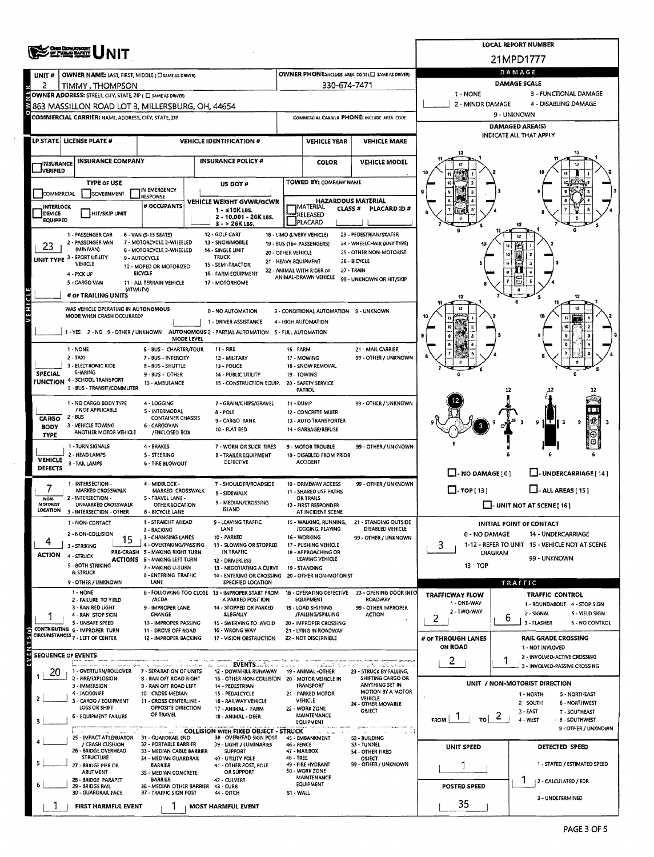